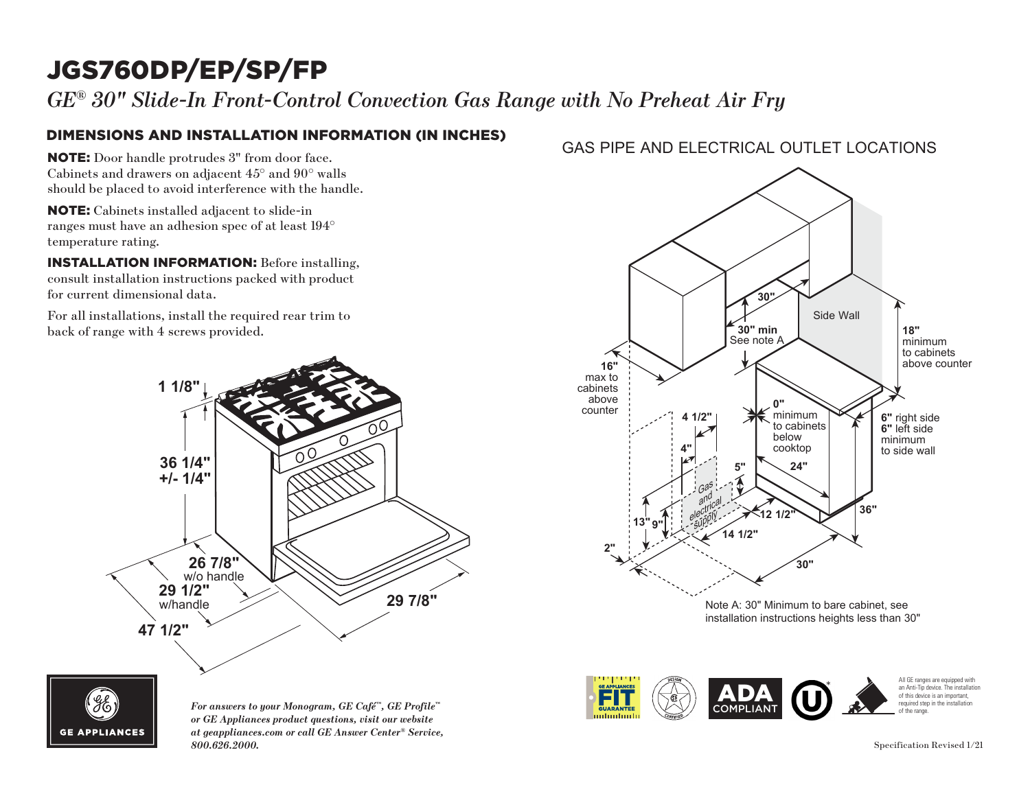# JGS760DP/EP/SP/FP

*GE® 30" Slide-In Front-Control Convection Gas Range with No Preheat Air Fry*

### DIMENSIONS AND INSTALLATION INFORMATION (IN INCHES)

NOTE: Door handle protrudes 3" from door face. Cabinets and drawers on adjacent 45° and 90° walls should be placed to avoid interference with the handle. ild be pl

NOTE: Cabinets installed adjacent to slide-in ranges must have an adhesion spec of at least 194° temperature rating.  $\mathbf{E}$ : Cabinets

**INSTALLATION INFORMATION:** Before installing, consult installation instructions packed with product for current dimensional data. to current

For all installations, install the required rear trim to back of range with 4 screws provided.





*For answers to your Monogram, GE Café™, GE Profile™ or GE Appliances product questions, visit our website at geappliances.com or call GE Answer Center® Service, 800.626.2000.* Specification Revised 1/21

### GAS PIPE AND ELECTRICAL OUTLET LOCATIONS